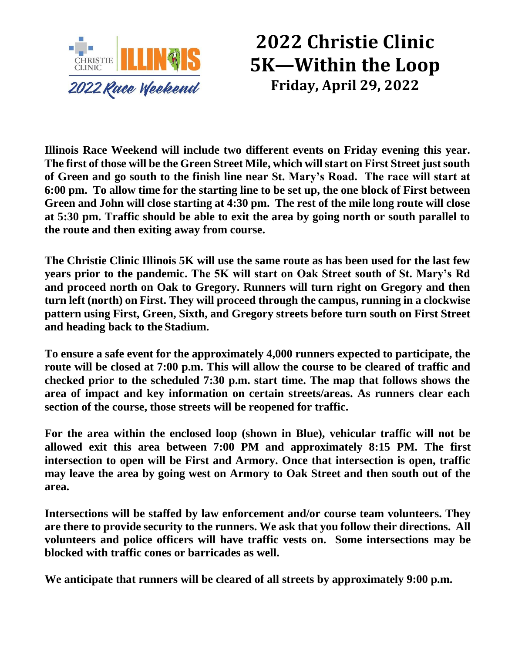

## **2022 Christie Clinic 5K—Within the Loop Friday, April 29, 2022**

**Illinois Race Weekend will include two different events on Friday evening this year. The first of those will be the Green Street Mile, which will start on First Street just south of Green and go south to the finish line near St. Mary's Road. The race will start at 6:00 pm. To allow time for the starting line to be set up, the one block of First between Green and John will close starting at 4:30 pm. The rest of the mile long route will close at 5:30 pm. Traffic should be able to exit the area by going north or south parallel to the route and then exiting away from course.**

**The Christie Clinic Illinois 5K will use the same route as has been used for the last few years prior to the pandemic. The 5K will start on Oak Street south of St. Mary's Rd and proceed north on Oak to Gregory. Runners will turn right on Gregory and then turn left (north) on First. They will proceed through the campus, running in a clockwise pattern using First, Green, Sixth, and Gregory streets before turn south on First Street and heading back to the Stadium.**

**To ensure a safe event for the approximately 4,000 runners expected to participate, the route will be closed at 7:00 p.m. This will allow the course to be cleared of traffic and checked prior to the scheduled 7:30 p.m. start time. The map that follows shows the area of impact and key information on certain streets/areas. As runners clear each section of the course, those streets will be reopened for traffic.**

**For the area within the enclosed loop (shown in Blue), vehicular traffic will not be allowed exit this area between 7:00 PM and approximately 8:15 PM. The first intersection to open will be First and Armory. Once that intersection is open, traffic may leave the area by going west on Armory to Oak Street and then south out of the area.** 

**Intersections will be staffed by law enforcement and/or course team volunteers. They are there to provide security to the runners. We ask that you follow their directions. All volunteers and police officers will have traffic vests on. Some intersections may be blocked with traffic cones or barricades as well.** 

**We anticipate that runners will be cleared of all streets by approximately 9:00 p.m.**